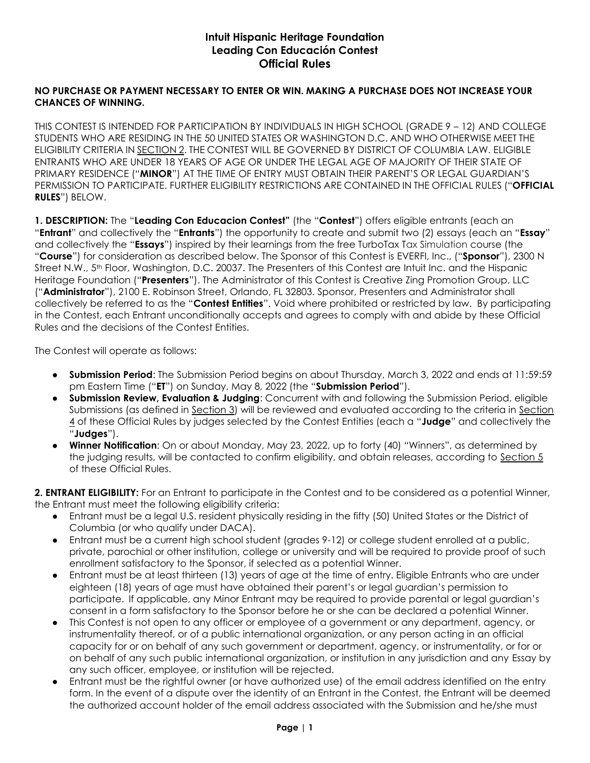## **Intuit Hispanic Heritage Foundation Leading Con Educación Contest Official Rules**

## **NO PURCHASE OR PAYMENT NECESSARY TO ENTER OR WIN. MAKING A PURCHASE DOES NOT INCREASE YOUR CHANCES OF WINNING.**

THIS CONTEST IS INTENDED FOR PARTICIPATION BY INDIVIDUALS IN HIGH SCHOOL (GRADE 9 – 12) AND COLLEGE STUDENTS WHO ARE RESIDING IN THE 50 UNITED STATES OR WASHINGTON D.C. AND WHO OTHERWISE MEET THE ELIGIBILITY CRITERIA IN SECTION 2. THE CONTEST WILL BE GOVERNED BY DISTRICT OF COLUMBIA LAW. ELIGIBLE ENTRANTS WHO ARE UNDER 18 YEARS OF AGE OR UNDER THE LEGAL AGE OF MAJORITY OF THEIR STATE OF PRIMARY RESIDENCE ("**MINOR**") AT THE TIME OF ENTRY MUST OBTAIN THEIR PARENT'S OR LEGAL GUARDIAN'S PERMISSION TO PARTICIPATE. FURTHER ELIGIBILITY RESTRICTIONS ARE CONTAINED IN THE OFFICIAL RULES ("**OFFICIAL RULES**") BELOW.

**1. DESCRIPTION:** The "**Leading Con Educacion Contest"** (the "**Contest**") offers eligible entrants (each an "**Entrant**" and collectively the "**Entrants**") the opportunity to create and submit two (2) essays (each an "**Essay**" and collectively the "**Essays**") inspired by their learnings from the free TurboTax Tax Simulation course (the "**Course**") for consideration as described below. The Sponsor of this Contest is EVERFI, Inc., ("**Sponsor**"), 2300 N Street N.W., 5<sup>th</sup> Floor, Washington, D.C. 20037. The Presenters of this Contest are Intuit Inc. and the Hispanic Heritage Foundation ("**Presenters**"). The Administrator of this Contest is Creative Zing Promotion Group, LLC ("**Administrator**"), 2100 E. Robinson Street, Orlando, FL 32803. Sponsor, Presenters and Administrator shall collectively be referred to as the "**Contest Entities**". Void where prohibited or restricted by law. By participating in the Contest, each Entrant unconditionally accepts and agrees to comply with and abide by these Official Rules and the decisions of the Contest Entities.

The Contest will operate as follows:

- **Submission Period**: The Submission Period begins on about Thursday, March 3, 2022 and ends at 11:59:59 pm Eastern Time ("**ET**") on Sunday, May 8, 2022 (the "**Submission Period**").
- **Submission Review, Evaluation & Judging**: Concurrent with and following the Submission Period, eligible Submissions (as defined in Section 3) will be reviewed and evaluated according to the criteria in Section 4 of these Official Rules by judges selected by the Contest Entities (each a "**Judge**" and collectively the "**Judges**").
- **Winner Notification**: On or about Monday, May 23, 2022, up to forty (40) "Winners", as determined by the judging results, will be contacted to confirm eligibility, and obtain releases, according to Section 5 of these Official Rules.

**2. ENTRANT ELIGIBILITY:** For an Entrant to participate in the Contest and to be considered as a potential Winner, the Entrant must meet the following eligibility criteria:

- Entrant must be a legal U.S. resident physically residing in the fifty (50) United States or the District of Columbia (or who qualify under DACA).
- Entrant must be a current high school student (grades 9-12) or college student enrolled at a public, private, parochial or other institution, college or university and will be required to provide proof of such enrollment satisfactory to the Sponsor, if selected as a potential Winner.
- Entrant must be at least thirteen (13) years of age at the time of entry. Eligible Entrants who are under eighteen (18) years of age must have obtained their parent's or legal guardian's permission to participate. If applicable, any Minor Entrant may be required to provide parental or legal guardian's consent in a form satisfactory to the Sponsor before he or she can be declared a potential Winner.
- This Contest is not open to any officer or employee of a government or any department, agency, or instrumentality thereof, or of a public international organization, or any person acting in an official capacity for or on behalf of any such government or department, agency, or instrumentality, or for or on behalf of any such public international organization, or institution in any jurisdiction and any Essay by any such officer, employee, or institution will be rejected.
- Entrant must be the rightful owner (or have authorized use) of the email address identified on the entry form. In the event of a dispute over the identity of an Entrant in the Contest, the Entrant will be deemed the authorized account holder of the email address associated with the Submission and he/she must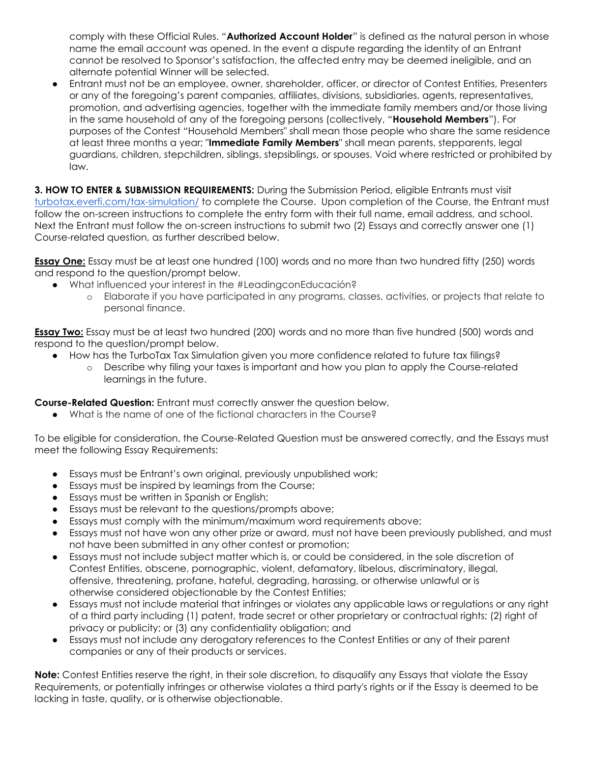comply with these Official Rules. "**Authorized Account Holder**" is defined as the natural person in whose name the email account was opened. In the event a dispute regarding the identity of an Entrant cannot be resolved to Sponsor's satisfaction, the affected entry may be deemed ineligible, and an alternate potential Winner will be selected.

Entrant must not be an employee, owner, shareholder, officer, or director of Contest Entities, Presenters or any of the foregoing's parent companies, affiliates, divisions, subsidiaries, agents, representatives, promotion, and advertising agencies, together with the immediate family members and/or those living in the same household of any of the foregoing persons (collectively, "**Household Members**"). For purposes of the Contest "Household Members" shall mean those people who share the same residence at least three months a year; "**Immediate Family Members**" shall mean parents, stepparents, legal guardians, children, stepchildren, siblings, stepsiblings, or spouses. Void where restricted or prohibited by law.

**3. HOW TO ENTER & SUBMISSION REQUIREMENTS:** During the Submission Period, eligible Entrants must visit [turbotax.everfi.com/tax-simulation/](http://turbotax.everfi.com/tax-simulation/) to complete the Course. Upon completion of the Course, the Entrant must follow the on-screen instructions to complete the entry form with their full name, email address, and school. Next the Entrant must follow the on-screen instructions to submit two (2) Essays and correctly answer one (1) Course-related question, as further described below.

**Essay One:** Essay must be at least one hundred (100) words and no more than two hundred fifty (250) words and respond to the question/prompt below.

- What influenced your interest in the #LeadingconEducación?
	- o Elaborate if you have participated in any programs, classes, activities, or projects that relate to personal finance.

**Essay Two:** Essay must be at least two hundred (200) words and no more than five hundred (500) words and respond to the question/prompt below.

- How has the TurboTax Tax Simulation given you more confidence related to future tax filings?
	- o Describe why filing your taxes is important and how you plan to apply the Course-related learnings in the future.

**Course-Related Question:** Entrant must correctly answer the question below.

What is the name of one of the fictional characters in the Course?

To be eligible for consideration, the Course-Related Question must be answered correctly, and the Essays must meet the following Essay Requirements:

- Essays must be Entrant's own original, previously unpublished work;
- Essays must be inspired by learnings from the Course;
- Essays must be written in Spanish or English;
- Essays must be relevant to the questions/prompts above;
- Essays must comply with the minimum/maximum word requirements above:
- Essays must not have won any other prize or award, must not have been previously published, and must not have been submitted in any other contest or promotion;
- Essays must not include subject matter which is, or could be considered, in the sole discretion of Contest Entities, obscene, pornographic, violent, defamatory, libelous, discriminatory, illegal, offensive, threatening, profane, hateful, degrading, harassing, or otherwise unlawful or is otherwise considered objectionable by the Contest Entities;
- Essays must not include material that infringes or violates any applicable laws or regulations or any right of a third party including (1) patent, trade secret or other proprietary or contractual rights; (2) right of privacy or publicity; or (3) any confidentiality obligation; and
- Essays must not include any derogatory references to the Contest Entities or any of their parent companies or any of their products or services.

**Note:** Contest Entities reserve the right, in their sole discretion, to disqualify any Essays that violate the Essay Requirements, or potentially infringes or otherwise violates a third party's rights or if the Essay is deemed to be lacking in taste, quality, or is otherwise objectionable.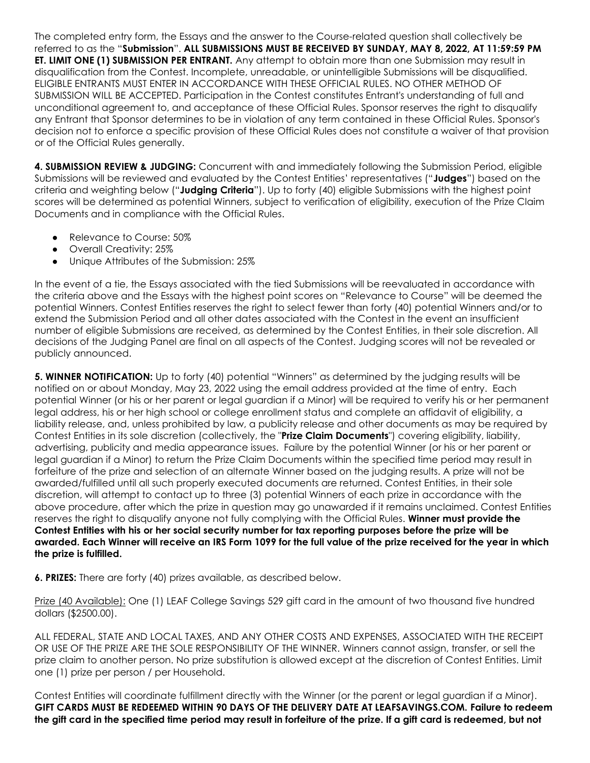The completed entry form, the Essays and the answer to the Course-related question shall collectively be referred to as the "**Submission**". **ALL SUBMISSIONS MUST BE RECEIVED BY SUNDAY, MAY 8, 2022, AT 11:59:59 PM ET. LIMIT ONE (1) SUBMISSION PER ENTRANT.** Any attempt to obtain more than one Submission may result in disqualification from the Contest. Incomplete, unreadable, or unintelligible Submissions will be disqualified. ELIGIBLE ENTRANTS MUST ENTER IN ACCORDANCE WITH THESE OFFICIAL RULES. NO OTHER METHOD OF SUBMISSION WILL BE ACCEPTED. Participation in the Contest constitutes Entrant's understanding of full and unconditional agreement to, and acceptance of these Official Rules. Sponsor reserves the right to disqualify any Entrant that Sponsor determines to be in violation of any term contained in these Official Rules. Sponsor's decision not to enforce a specific provision of these Official Rules does not constitute a waiver of that provision or of the Official Rules generally.

**4. SUBMISSION REVIEW & JUDGING:** Concurrent with and immediately following the Submission Period, eligible Submissions will be reviewed and evaluated by the Contest Entities' representatives ("**Judges**") based on the criteria and weighting below ("**Judging Criteria**"). Up to forty (40) eligible Submissions with the highest point scores will be determined as potential Winners, subject to verification of eligibility, execution of the Prize Claim Documents and in compliance with the Official Rules.

- Relevance to Course: 50%
- Overall Creativity: 25%
- Unique Attributes of the Submission: 25%

In the event of a tie, the Essays associated with the tied Submissions will be reevaluated in accordance with the criteria above and the Essays with the highest point scores on "Relevance to Course" will be deemed the potential Winners. Contest Entities reserves the right to select fewer than forty (40) potential Winners and/or to extend the Submission Period and all other dates associated with the Contest in the event an insufficient number of eligible Submissions are received, as determined by the Contest Entities, in their sole discretion. All decisions of the Judging Panel are final on all aspects of the Contest. Judging scores will not be revealed or publicly announced.

**5. WINNER NOTIFICATION:** Up to forty (40) potential "Winners" as determined by the judging results will be notified on or about Monday, May 23, 2022 using the email address provided at the time of entry. Each potential Winner (or his or her parent or legal guardian if a Minor) will be required to verify his or her permanent legal address, his or her high school or college enrollment status and complete an affidavit of eligibility, a liability release, and, unless prohibited by law, a publicity release and other documents as may be required by Contest Entities in its sole discretion (collectively, the "**Prize Claim Documents**") covering eligibility, liability, advertising, publicity and media appearance issues. Failure by the potential Winner (or his or her parent or legal guardian if a Minor) to return the Prize Claim Documents within the specified time period may result in forfeiture of the prize and selection of an alternate Winner based on the judging results. A prize will not be awarded/fulfilled until all such properly executed documents are returned. Contest Entities, in their sole discretion, will attempt to contact up to three (3) potential Winners of each prize in accordance with the above procedure, after which the prize in question may go unawarded if it remains unclaimed. Contest Entities reserves the right to disqualify anyone not fully complying with the Official Rules. **Winner must provide the Contest Entities with his or her social security number for tax reporting purposes before the prize will be awarded. Each Winner will receive an IRS Form 1099 for the full value of the prize received for the year in which the prize is fulfilled.** 

**6. PRIZES:** There are forty (40) prizes available, as described below.

Prize (40 Available): One (1) LEAF College Savings 529 gift card in the amount of two thousand five hundred dollars (\$2500.00).

ALL FEDERAL, STATE AND LOCAL TAXES, AND ANY OTHER COSTS AND EXPENSES, ASSOCIATED WITH THE RECEIPT OR USE OF THE PRIZE ARE THE SOLE RESPONSIBILITY OF THE WINNER. Winners cannot assign, transfer, or sell the prize claim to another person. No prize substitution is allowed except at the discretion of Contest Entities. Limit one (1) prize per person / per Household.

Contest Entities will coordinate fulfillment directly with the Winner (or the parent or legal guardian if a Minor). **GIFT CARDS MUST BE REDEEMED WITHIN 90 DAYS OF THE DELIVERY DATE AT LEAFSAVINGS.COM. Failure to redeem the gift card in the specified time period may result in forfeiture of the prize. If a gift card is redeemed, but not**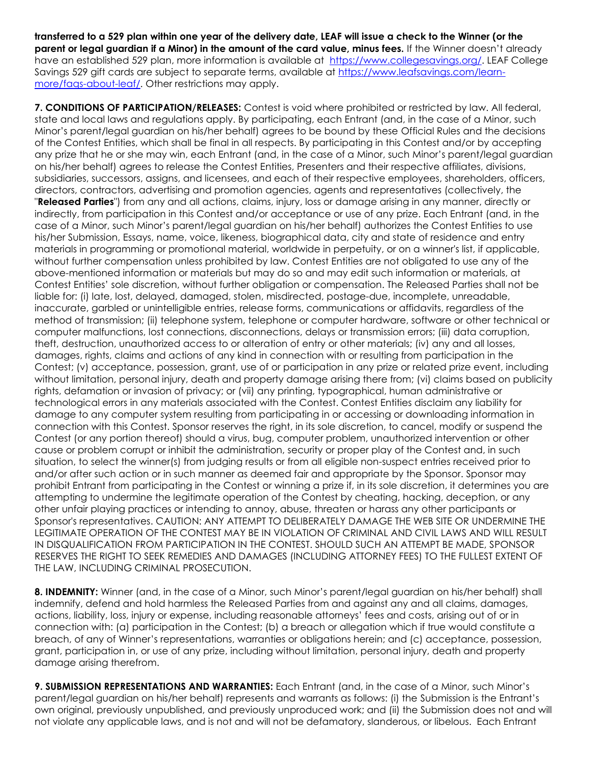**transferred to a 529 plan within one year of the delivery date, LEAF will issue a check to the Winner (or the parent or legal guardian if a Minor) in the amount of the card value, minus fees.** If the Winner doesn't already have an established 529 plan, more information is available at [https://www.collegesavings.org/.](https://www.collegesavings.org/) LEAF College Savings 529 gift cards are subject to separate terms, available at [https://www.leafsavings.com/learn](https://www.leafsavings.com/learn-more/faqs-about-leaf/)[more/faqs-about-leaf/.](https://www.leafsavings.com/learn-more/faqs-about-leaf/) Other restrictions may apply.

**7. CONDITIONS OF PARTICIPATION/RELEASES:** Contest is void where prohibited or restricted by law. All federal, state and local laws and regulations apply. By participating, each Entrant (and, in the case of a Minor, such Minor's parent/legal guardian on his/her behalf) agrees to be bound by these Official Rules and the decisions of the Contest Entities, which shall be final in all respects. By participating in this Contest and/or by accepting any prize that he or she may win, each Entrant (and, in the case of a Minor, such Minor's parent/legal guardian on his/her behalf) agrees to release the Contest Entities, Presenters and their respective affiliates, divisions, subsidiaries, successors, assigns, and licensees, and each of their respective employees, shareholders, officers, directors, contractors, advertising and promotion agencies, agents and representatives (collectively, the "**Released Parties**") from any and all actions, claims, injury, loss or damage arising in any manner, directly or indirectly, from participation in this Contest and/or acceptance or use of any prize. Each Entrant (and, in the case of a Minor, such Minor's parent/legal guardian on his/her behalf) authorizes the Contest Entities to use his/her Submission, Essays, name, voice, likeness, biographical data, city and state of residence and entry materials in programming or promotional material, worldwide in perpetuity, or on a winner's list, if applicable, without further compensation unless prohibited by law. Contest Entities are not obligated to use any of the above-mentioned information or materials but may do so and may edit such information or materials, at Contest Entities' sole discretion, without further obligation or compensation. The Released Parties shall not be liable for: (i) late, lost, delayed, damaged, stolen, misdirected, postage-due, incomplete, unreadable, inaccurate, garbled or unintelligible entries, release forms, communications or affidavits, regardless of the method of transmission; (ii) telephone system, telephone or computer hardware, software or other technical or computer malfunctions, lost connections, disconnections, delays or transmission errors; (iii) data corruption, theft, destruction, unauthorized access to or alteration of entry or other materials; (iv) any and all losses, damages, rights, claims and actions of any kind in connection with or resulting from participation in the Contest; (v) acceptance, possession, grant, use of or participation in any prize or related prize event, including without limitation, personal injury, death and property damage arising there from; (vi) claims based on publicity rights, defamation or invasion of privacy; or (vii) any printing, typographical, human administrative or technological errors in any materials associated with the Contest. Contest Entities disclaim any liability for damage to any computer system resulting from participating in or accessing or downloading information in connection with this Contest. Sponsor reserves the right, in its sole discretion, to cancel, modify or suspend the Contest (or any portion thereof) should a virus, bug, computer problem, unauthorized intervention or other cause or problem corrupt or inhibit the administration, security or proper play of the Contest and, in such situation, to select the winner(s) from judging results or from all eligible non-suspect entries received prior to and/or after such action or in such manner as deemed fair and appropriate by the Sponsor. Sponsor may prohibit Entrant from participating in the Contest or winning a prize if, in its sole discretion, it determines you are attempting to undermine the legitimate operation of the Contest by cheating, hacking, deception, or any other unfair playing practices or intending to annoy, abuse, threaten or harass any other participants or Sponsor's representatives. CAUTION: ANY ATTEMPT TO DELIBERATELY DAMAGE THE WEB SITE OR UNDERMINE THE LEGITIMATE OPERATION OF THE CONTEST MAY BE IN VIOLATION OF CRIMINAL AND CIVIL LAWS AND WILL RESULT IN DISQUALIFICATION FROM PARTICIPATION IN THE CONTEST. SHOULD SUCH AN ATTEMPT BE MADE, SPONSOR RESERVES THE RIGHT TO SEEK REMEDIES AND DAMAGES (INCLUDING ATTORNEY FEES) TO THE FULLEST EXTENT OF THE LAW, INCLUDING CRIMINAL PROSECUTION.

**8. INDEMNITY:** Winner (and, in the case of a Minor, such Minor's parent/legal guardian on his/her behalf) shall indemnify, defend and hold harmless the Released Parties from and against any and all claims, damages, actions, liability, loss, injury or expense, including reasonable attorneys' fees and costs, arising out of or in connection with: (a) participation in the Contest; (b) a breach or allegation which if true would constitute a breach, of any of Winner's representations, warranties or obligations herein; and (c) acceptance, possession, grant, participation in, or use of any prize, including without limitation, personal injury, death and property damage arising therefrom.

**9. SUBMISSION REPRESENTATIONS AND WARRANTIES:** Each Entrant (and, in the case of a Minor, such Minor's parent/legal guardian on his/her behalf) represents and warrants as follows: (i) the Submission is the Entrant's own original, previously unpublished, and previously unproduced work; and (ii) the Submission does not and will not violate any applicable laws, and is not and will not be defamatory, slanderous, or libelous. Each Entrant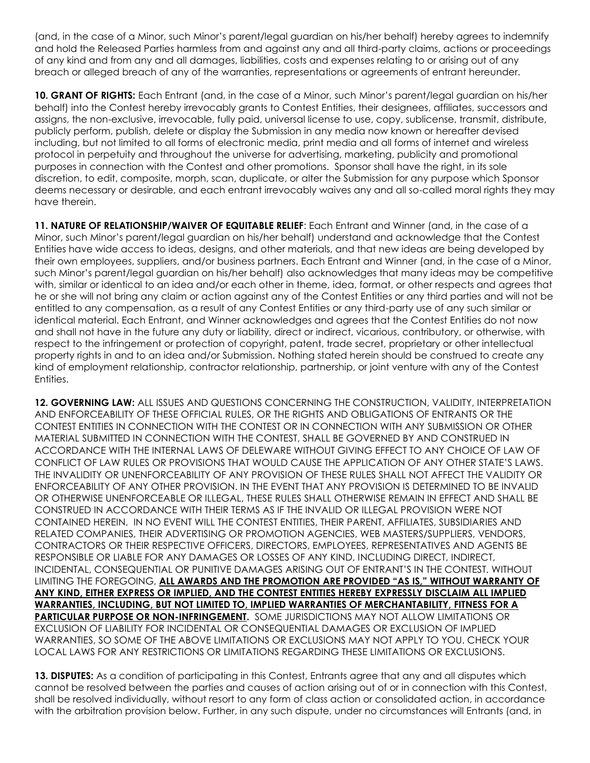(and, in the case of a Minor, such Minor's parent/legal guardian on his/her behalf) hereby agrees to indemnify and hold the Released Parties harmless from and against any and all third-party claims, actions or proceedings of any kind and from any and all damages, liabilities, costs and expenses relating to or arising out of any breach or alleged breach of any of the warranties, representations or agreements of entrant hereunder.

**10. GRANT OF RIGHTS:** Each Entrant (and, in the case of a Minor, such Minor's parent/legal guardian on his/her behalf) into the Contest hereby irrevocably grants to Contest Entities, their designees, affiliates, successors and assigns, the non-exclusive, irrevocable, fully paid, universal license to use, copy, sublicense, transmit, distribute, publicly perform, publish, delete or display the Submission in any media now known or hereafter devised including, but not limited to all forms of electronic media, print media and all forms of internet and wireless protocol in perpetuity and throughout the universe for advertising, marketing, publicity and promotional purposes in connection with the Contest and other promotions. Sponsor shall have the right, in its sole discretion, to edit, composite, morph, scan, duplicate, or alter the Submission for any purpose which Sponsor deems necessary or desirable, and each entrant irrevocably waives any and all so-called moral rights they may have therein.

**11. NATURE OF RELATIONSHIP/WAIVER OF EQUITABLE RELIEF**: Each Entrant and Winner (and, in the case of a Minor, such Minor's parent/legal guardian on his/her behalf) understand and acknowledge that the Contest Entities have wide access to ideas, designs, and other materials, and that new ideas are being developed by their own employees, suppliers, and/or business partners. Each Entrant and Winner (and, in the case of a Minor, such Minor's parent/legal guardian on his/her behalf) also acknowledges that many ideas may be competitive with, similar or identical to an idea and/or each other in theme, idea, format, or other respects and agrees that he or she will not bring any claim or action against any of the Contest Entities or any third parties and will not be entitled to any compensation, as a result of any Contest Entities or any third-party use of any such similar or identical material. Each Entrant, and Winner acknowledges and agrees that the Contest Entities do not now and shall not have in the future any duty or liability, direct or indirect, vicarious, contributory, or otherwise, with respect to the infringement or protection of copyright, patent, trade secret, proprietary or other intellectual property rights in and to an idea and/or Submission. Nothing stated herein should be construed to create any kind of employment relationship, contractor relationship, partnership, or joint venture with any of the Contest Entities.

**12. GOVERNING LAW:** ALL ISSUES AND QUESTIONS CONCERNING THE CONSTRUCTION, VALIDITY, INTERPRETATION AND ENFORCEABILITY OF THESE OFFICIAL RULES, OR THE RIGHTS AND OBLIGATIONS OF ENTRANTS OR THE CONTEST ENTITIES IN CONNECTION WITH THE CONTEST OR IN CONNECTION WITH ANY SUBMISSION OR OTHER MATERIAL SUBMITTED IN CONNECTION WITH THE CONTEST, SHALL BE GOVERNED BY AND CONSTRUED IN ACCORDANCE WITH THE INTERNAL LAWS OF DELEWARE WITHOUT GIVING EFFECT TO ANY CHOICE OF LAW OF CONFLICT OF LAW RULES OR PROVISIONS THAT WOULD CAUSE THE APPLICATION OF ANY OTHER STATE'S LAWS. THE INVALIDITY OR UNENFORCEABILITY OF ANY PROVISION OF THESE RULES SHALL NOT AFFECT THE VALIDITY OR ENFORCEABILITY OF ANY OTHER PROVISION. IN THE EVENT THAT ANY PROVISION IS DETERMINED TO BE INVALID OR OTHERWISE UNENFORCEABLE OR ILLEGAL, THESE RULES SHALL OTHERWISE REMAIN IN EFFECT AND SHALL BE CONSTRUED IN ACCORDANCE WITH THEIR TERMS AS IF THE INVALID OR ILLEGAL PROVISION WERE NOT CONTAINED HEREIN. IN NO EVENT WILL THE CONTEST ENTITIES, THEIR PARENT, AFFILIATES, SUBSIDIARIES AND RELATED COMPANIES, THEIR ADVERTISING OR PROMOTION AGENCIES, WEB MASTERS/SUPPLIERS, VENDORS, CONTRACTORS OR THEIR RESPECTIVE OFFICERS, DIRECTORS, EMPLOYEES, REPRESENTATIVES AND AGENTS BE RESPONSIBLE OR LIABLE FOR ANY DAMAGES OR LOSSES OF ANY KIND, INCLUDING DIRECT, INDIRECT, INCIDENTAL, CONSEQUENTIAL OR PUNITIVE DAMAGES ARISING OUT OF ENTRANT'S IN THE CONTEST. WITHOUT LIMITING THE FOREGOING, **ALL AWARDS AND THE PROMOTION ARE PROVIDED "AS IS," WITHOUT WARRANTY OF ANY KIND, EITHER EXPRESS OR IMPLIED, AND THE CONTEST ENTITIES HEREBY EXPRESSLY DISCLAIM ALL IMPLIED WARRANTIES, INCLUDING, BUT NOT LIMITED TO, IMPLIED WARRANTIES OF MERCHANTABILITY, FITNESS FOR A PARTICULAR PURPOSE OR NON-INFRINGEMENT.** SOME JURISDICTIONS MAY NOT ALLOW LIMITATIONS OR EXCLUSION OF LIABILITY FOR INCIDENTAL OR CONSEQUENTIAL DAMAGES OR EXCLUSION OF IMPLIED WARRANTIES, SO SOME OF THE ABOVE LIMITATIONS OR EXCLUSIONS MAY NOT APPLY TO YOU. CHECK YOUR LOCAL LAWS FOR ANY RESTRICTIONS OR LIMITATIONS REGARDING THESE LIMITATIONS OR EXCLUSIONS.

**13. DISPUTES:** As a condition of participating in this Contest, Entrants agree that any and all disputes which cannot be resolved between the parties and causes of action arising out of or in connection with this Contest, shall be resolved individually, without resort to any form of class action or consolidated action, in accordance with the arbitration provision below. Further, in any such dispute, under no circumstances will Entrants (and, in